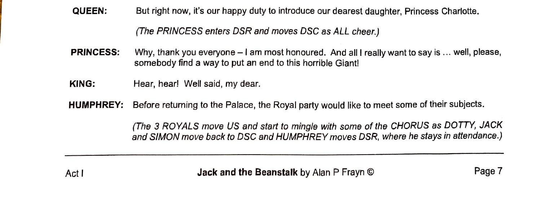**QUEEN:** But right now, it's our happy duty to introduce our dearest daughter, Princess Charlotte.

*(The PRINCESS enters DSR and moves DSC* as *ALL cheer.)* 

- **PRINCESS:** Why, thank you everyone I am most honoured. And all I really want to say is ... well, please, somebody find a way to put an end to this horrible Giant!
- **KING:** Hear, hear! Well said, my dear.
- **HUMPHREY:** Before returning to the Palace, the Royal party would like to meet some of their subjects.

*(The 3 ROYALS move US and start to mingle with* some *of the CHORUS* as *DOTTY, JACK and SIMON move back to DSC and HUMPHREY moves DSR, where he stays in attendance.)* 

Act I **Jack and the Beanstalk** by Alan P Frayn © Page 7